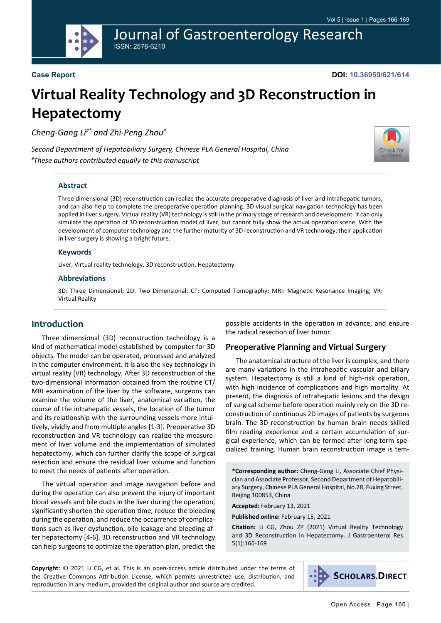Journal of Gastroenterology Research ISSN: 2578-6210

### **Case Report**

**DOI: 10.36959/621/614**

# **Virtual Reality Technology and 3D Reconstruction in Hepatectomy**

*Cheng-Gang Li#\* and Zhi-Peng Zhou#*

*Second Department of Hepatobiliary Surgery, Chinese PLA General Hospital, China # These authors contributed equally to this manuscript*



#### **Abstract**

Three dimensional (3D) reconstruction can realize the accurate preoperative diagnosis of liver and intrahepatic tumors, and can also help to complete the preoperative operation planning. 3D visual surgical navigation technology has been applied in liver surgery. Virtual reality (VR) technology is still in the primary stage of research and development. It can only simulate the operation of 3D reconstruction model of liver, but cannot fully show the actual operation scene. With the development of computer technology and the further maturity of 3D reconstruction and VR technology, their application in liver surgery is showing a bright future.

#### **Keywords**

Liver, Virtual reality technology, 3D reconstruction, Hepatectomy

#### **Abbreviations**

3D: Three Dimensional; 2D: Two Dimensional; CT: Computed Tomography; MRI: Magnetic Resonance Imaging; VR: Virtual Reality

## **Introduction**

Three dimensional (3D) reconstruction technology is a kind of mathematical model established by computer for 3D objects. The model can be operated, processed and analyzed in the computer environment. It is also the key technology in virtual reality (VR) technology. After 3D reconstruction of the two-dimensional information obtained from the routine CT/ MRI examination of the liver by the software, surgeons can examine the volume of the liver, anatomical variation, the course of the intrahepatic vessels, the location of the tumor and its relationship with the surrounding vessels more intuitively, vividly and from multiple angles [1-3]. Preoperative 3D reconstruction and VR technology can realize the measurement of liver volume and the implementation of simulated hepatectomy, which can further clarify the scope of surgical resection and ensure the residual liver volume and function to meet the needs of patients after operation.

The virtual operation and image navigation before and during the operation can also prevent the injury of important blood vessels and bile ducts in the liver during the operation, significantly shorten the operation time, reduce the bleeding during the operation, and reduce the occurrence of complications such as liver dysfunction, bile leakage and bleeding after hepatectomy [4-6]. 3D reconstruction and VR technology can help surgeons to optimize the operation plan, predict the possible accidents in the operation in advance, and ensure the radical resection of liver tumor.

#### **Preoperative Planning and Virtual Surgery**

The anatomical structure of the liver is complex, and there are many variations in the intrahepatic vascular and biliary system. Hepatectomy is still a kind of high-risk operation, with high incidence of complications and high mortality. At present, the diagnosis of intrahepatic lesions and the design of surgical scheme before operation mainly rely on the 3D reconstruction of continuous 2D images of patients by surgeons brain. The 3D reconstruction by human brain needs skilled film reading experience and a certain accumulation of surgical experience, which can be formed after long-term specialized training. Human brain reconstruction image is tem-

**\*Corresponding author:** Cheng-Gang Li, Associate Chief Physician and Associate Professor, Second Department of Hepatobiliary Surgery, Chinese PLA General Hospital, No.28, Fuxing Street, Beijing 100853, China

**Accepted:** February 13, 2021

**Published online:** February 15, 2021

**Citation:** Li CG, Zhou ZP (2021) Virtual Reality Technology and 3D Reconstruction in Hepatectomy. J Gastroenterol Res 5(1):166-169

**Copyright:** © 2021 Li CG, et al. This is an open-access article distributed under the terms of the Creative Commons Attribution License, which permits unrestricted use, distribution, and reproduction in any medium, provided the original author and source are credited.

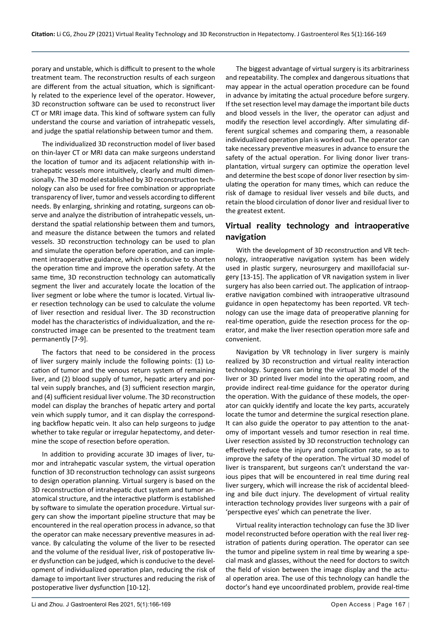porary and unstable, which is difficult to present to the whole treatment team. The reconstruction results of each surgeon are different from the actual situation, which is significantly related to the experience level of the operator. However, 3D reconstruction software can be used to reconstruct liver CT or MRI image data. This kind of software system can fully understand the course and variation of intrahepatic vessels, and judge the spatial relationship between tumor and them.

The individualized 3D reconstruction model of liver based on thin-layer CT or MRI data can make surgeons understand the location of tumor and its adjacent relationship with intrahepatic vessels more intuitively, clearly and multi dimensionally. The 3D model established by 3D reconstruction technology can also be used for free combination or appropriate transparency of liver, tumor and vessels according to different needs. By enlarging, shrinking and rotating, surgeons can observe and analyze the distribution of intrahepatic vessels, understand the spatial relationship between them and tumors, and measure the distance between the tumors and related vessels. 3D reconstruction technology can be used to plan and simulate the operation before operation, and can implement intraoperative guidance, which is conducive to shorten the operation time and improve the operation safety. At the same time, 3D reconstruction technology can automatically segment the liver and accurately locate the location of the liver segment or lobe where the tumor is located. Virtual liver resection technology can be used to calculate the volume of liver resection and residual liver. The 3D reconstruction model has the characteristics of individualization, and the reconstructed image can be presented to the treatment team permanently [7-9].

The factors that need to be considered in the process of liver surgery mainly include the following points: (1) Location of tumor and the venous return system of remaining liver, and (2) blood supply of tumor, hepatic artery and portal vein supply branches, and (3) sufficient resection margin, and (4) sufficient residual liver volume. The 3D reconstruction model can display the branches of hepatic artery and portal vein which supply tumor, and it can display the corresponding backflow hepatic vein. It also can help surgeons to judge whether to take regular or irregular hepatectomy, and determine the scope of resection before operation.

In addition to providing accurate 3D images of liver, tumor and intrahepatic vascular system, the virtual operation function of 3D reconstruction technology can assist surgeons to design operation planning. Virtual surgery is based on the 3D reconstruction of intrahepatic duct system and tumor anatomical structure, and the interactive platform is established by software to simulate the operation procedure. Virtual surgery can show the important pipeline structure that may be encountered in the real operation process in advance, so that the operator can make necessary preventive measures in advance. By calculating the volume of the liver to be resected and the volume of the residual liver, risk of postoperative liver dysfunction can be judged, which is conducive to the development of individualized operation plan, reducing the risk of damage to important liver structures and reducing the risk of postoperative liver dysfunction [10-12].

The biggest advantage of virtual surgery is its arbitrariness and repeatability. The complex and dangerous situations that may appear in the actual operation procedure can be found in advance by imitating the actual procedure before surgery. If the set resection level may damage the important bile ducts and blood vessels in the liver, the operator can adjust and modify the resection level accordingly. After simulating different surgical schemes and comparing them, a reasonable individualized operation plan is worked out. The operator can take necessary preventive measures in advance to ensure the safety of the actual operation. For living donor liver transplantation, virtual surgery can optimize the operation level and determine the best scope of donor liver resection by simulating the operation for many times, which can reduce the risk of damage to residual liver vessels and bile ducts, and retain the blood circulation of donor liver and residual liver to the greatest extent.

# **Virtual reality technology and intraoperative navigation**

With the development of 3D reconstruction and VR technology, intraoperative navigation system has been widely used in plastic surgery, neurosurgery and maxillofacial surgery [13-15]. The application of VR navigation system in liver surgery has also been carried out. The application of intraoperative navigation combined with intraoperative ultrasound guidance in open hepatectomy has been reported. VR technology can use the image data of preoperative planning for real-time operation, guide the resection process for the operator, and make the liver resection operation more safe and convenient.

Navigation by VR technology in liver surgery is mainly realized by 3D reconstruction and virtual reality interaction technology. Surgeons can bring the virtual 3D model of the liver or 3D printed liver model into the operating room, and provide indirect real-time guidance for the operator during the operation. With the guidance of these models, the operator can quickly identify and locate the key parts, accurately locate the tumor and determine the surgical resection plane. It can also guide the operator to pay attention to the anatomy of important vessels and tumor resection in real time. Liver resection assisted by 3D reconstruction technology can effectively reduce the injury and complication rate, so as to improve the safety of the operation. The virtual 3D model of liver is transparent, but surgeons can't understand the various pipes that will be encountered in real time during real liver surgery, which will increase the risk of accidental bleeding and bile duct injury. The development of virtual reality interaction technology provides liver surgeons with a pair of 'perspective eyes' which can penetrate the liver.

Virtual reality interaction technology can fuse the 3D liver model reconstructed before operation with the real liver registration of patients during operation. The operator can see the tumor and pipeline system in real time by wearing a special mask and glasses, without the need for doctors to switch the field of vision between the image display and the actual operation area. The use of this technology can handle the doctor's hand eye uncoordinated problem, provide real-time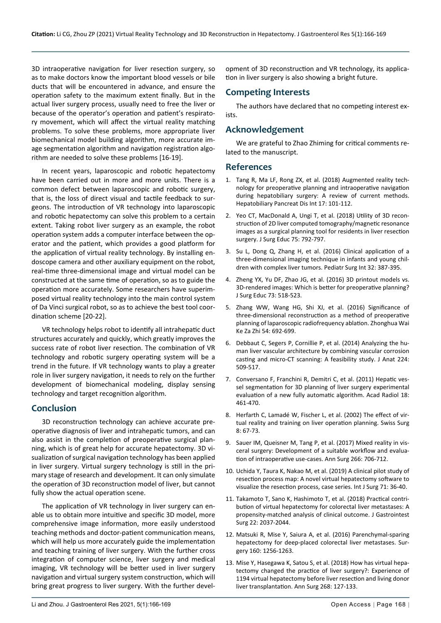3D intraoperative navigation for liver resection surgery, so as to make doctors know the important blood vessels or bile ducts that will be encountered in advance, and ensure the operation safety to the maximum extent finally. But in the actual liver surgery process, usually need to free the liver or because of the operator's operation and patient's respiratory movement, which will affect the virtual reality matching problems. To solve these problems, more appropriate liver biomechanical model building algorithm, more accurate image segmentation algorithm and navigation registration algorithm are needed to solve these problems [16-19].

In recent years, laparoscopic and robotic hepatectomy have been carried out in more and more units. There is a common defect between laparoscopic and robotic surgery, that is, the loss of direct visual and tactile feedback to surgeons. The introduction of VR technology into laparoscopic and robotic hepatectomy can solve this problem to a certain extent. Taking robot liver surgery as an example, the robot operation system adds a computer interface between the operator and the patient, which provides a good platform for the application of virtual reality technology. By installing endoscope camera and other auxiliary equipment on the robot, real-time three-dimensional image and virtual model can be constructed at the same time of operation, so as to guide the operation more accurately. Some researchers have superimposed virtual reality technology into the main control system of Da Vinci surgical robot, so as to achieve the best tool coordination scheme [20-22].

VR technology helps robot to identify all intrahepatic duct structures accurately and quickly, which greatly improves the success rate of robot liver resection. The combination of VR technology and robotic surgery operating system will be a trend in the future. If VR technology wants to play a greater role in liver surgery navigation, it needs to rely on the further development of biomechanical modeling, display sensing technology and target recognition algorithm.

# **Conclusion**

3D reconstruction technology can achieve accurate preoperative diagnosis of liver and intrahepatic tumors, and can also assist in the completion of preoperative surgical planning, which is of great help for accurate hepatectomy. 3D visualization of surgical navigation technology has been applied in liver surgery. Virtual surgery technology is still in the primary stage of research and development. It can only simulate the operation of 3D reconstruction model of liver, but cannot fully show the actual operation scene.

The application of VR technology in liver surgery can enable us to obtain more intuitive and specific 3D model, more comprehensive image information, more easily understood teaching methods and doctor-patient communication means, which will help us more accurately guide the implementation and teaching training of liver surgery. With the further cross integration of computer science, liver surgery and medical imaging, VR technology will be better used in liver surgery navigation and virtual surgery system construction, which will bring great progress to liver surgery. With the further devel-

opment of 3D reconstruction and VR technology, its application in liver surgery is also showing a bright future.

# **Competing Interests**

The authors have declared that no competing interest exists.

# **Acknowledgement**

We are grateful to Zhao Zhiming for critical comments related to the manuscript.

## **References**

- 1. [Tang R, Ma LF, Rong ZX, et al. \(2018\) Augmented reality tech](https://pubmed.ncbi.nlm.nih.gov/29567047/)[nology for preoperative planning and intraoperative navigation](https://pubmed.ncbi.nlm.nih.gov/29567047/)  [during hepatobiliary surgery: A review of current methods.](https://pubmed.ncbi.nlm.nih.gov/29567047/)  [Hepatobiliary Pancreat Dis Int 17: 101-112.](https://pubmed.ncbi.nlm.nih.gov/29567047/)
- 2. [Yeo CT, MacDonald A, Ungi T, et al. \(2018\) Utility of 3D recon](https://pubmed.ncbi.nlm.nih.gov/28822820/)[struction of 2D liver computed tomography/magnetic resonance](https://pubmed.ncbi.nlm.nih.gov/28822820/)  [images as a surgical planning tool for residents in liver resection](https://pubmed.ncbi.nlm.nih.gov/28822820/)  [surgery. J Surg Educ 75: 792-797.](https://pubmed.ncbi.nlm.nih.gov/28822820/)
- 3. [Su L, Dong Q, Zhang H, et al. \(2016\) Clinical application of a](https://pubmed.ncbi.nlm.nih.gov/26809670/)  [three-dimensional imaging technique in infants and young chil](https://pubmed.ncbi.nlm.nih.gov/26809670/)[dren with complex liver tumors. Pediatr Surg Int 32: 387-395.](https://pubmed.ncbi.nlm.nih.gov/26809670/)
- 4. [Zheng YX, Yu DF, Zhao JG, et al. \(2016\) 3D printout models vs.](https://www.sciencedirect.com/science/article/abs/pii/S1931720416000040)  [3D-rendered images: Which is better for preoperative planning?](https://www.sciencedirect.com/science/article/abs/pii/S1931720416000040)  [J Surg Educ 73: 518-523.](https://www.sciencedirect.com/science/article/abs/pii/S1931720416000040)
- 5. [Zhang WW, Wang HG, Shi XJ, et al. \(2016\) Significance of](https://pubmed.ncbi.nlm.nih.gov/27587213/)  [three-dimensional reconstruction as a method of preoperative](https://pubmed.ncbi.nlm.nih.gov/27587213/)  [planning of laparoscopic radiofrequency ablation. Zhonghua Wai](https://pubmed.ncbi.nlm.nih.gov/27587213/)  [Ke Za Zhi 54: 692-699.](https://pubmed.ncbi.nlm.nih.gov/27587213/)
- 6. [Debbaut C, Segers P, Cornillie P, et al. \(2014\) Analyzing the hu](https://pubmed.ncbi.nlm.nih.gov/24433401/)[man liver vascular architecture by combining vascular corrosion](https://pubmed.ncbi.nlm.nih.gov/24433401/)  [casting and micro-CT scanning: A feasibility study. J Anat 224:](https://pubmed.ncbi.nlm.nih.gov/24433401/)  [509-517.](https://pubmed.ncbi.nlm.nih.gov/24433401/)
- 7. [Conversano F, Franchini R, Demitri C, et al. \(2011\) Hepatic ves](https://pubmed.ncbi.nlm.nih.gov/21216631/)[sel segmentation for 3D planning of liver surgery experimental](https://pubmed.ncbi.nlm.nih.gov/21216631/)  [evaluation of a new fully automatic algorithm. Acad Radiol 18:](https://pubmed.ncbi.nlm.nih.gov/21216631/)  [461-470.](https://pubmed.ncbi.nlm.nih.gov/21216631/)
- 8. [Herfarth C, Lamadé W, Fischer L, et al. \(2002\) The effect of vir](https://pubmed.ncbi.nlm.nih.gov/12013693/)[tual reality and training on liver operation planning. Swiss Surg](https://pubmed.ncbi.nlm.nih.gov/12013693/)  [8: 67-73.](https://pubmed.ncbi.nlm.nih.gov/12013693/)
- 9. Sauer IM, Queisner M, Tang P, et al. (2017) Mixed reality in visceral surgery: Development of a suitable workflow and evaluation of intraoperative use-cases. Ann Surg 266: 706-712.
- 10. [Uchida Y, Taura K, Nakao M, et al. \(2019\) A clinical pilot study of](https://pubmed.ncbi.nlm.nih.gov/31525504/)  [resection process map: A novel virtual hepatectomy software to](https://pubmed.ncbi.nlm.nih.gov/31525504/)  [visualize the resection process, case series. Int J Surg 71: 36-40.](https://pubmed.ncbi.nlm.nih.gov/31525504/)
- 11. [Takamoto T, Sano K, Hashimoto T, et al. \(2018\) Practical contri](https://pubmed.ncbi.nlm.nih.gov/29980979/)[bution of virtual hepatectomy for colorectal liver metastases: A](https://pubmed.ncbi.nlm.nih.gov/29980979/)  [propensity-matched analysis of clinical outcome. J Gastrointest](https://pubmed.ncbi.nlm.nih.gov/29980979/)  [Surg 22: 2037-2044.](https://pubmed.ncbi.nlm.nih.gov/29980979/)
- 12. Matsuki R, Mise Y, Saiura A, et al. (2016) Parenchymal-sparing hepatectomy for deep-placed colorectal liver metastases. Surgery 160: 1256-1263.
- 13. [Mise Y, Hasegawa K, Satou S, et al. \(2018\) How has virtual hepa](https://pubmed.ncbi.nlm.nih.gov/28288065/)[tectomy changed the practice of liver surgery?: Experience of](https://pubmed.ncbi.nlm.nih.gov/28288065/)  [1194 virtual hepatectomy before liver resection and living donor](https://pubmed.ncbi.nlm.nih.gov/28288065/)  [liver transplantation. Ann Surg 268: 127-133.](https://pubmed.ncbi.nlm.nih.gov/28288065/)